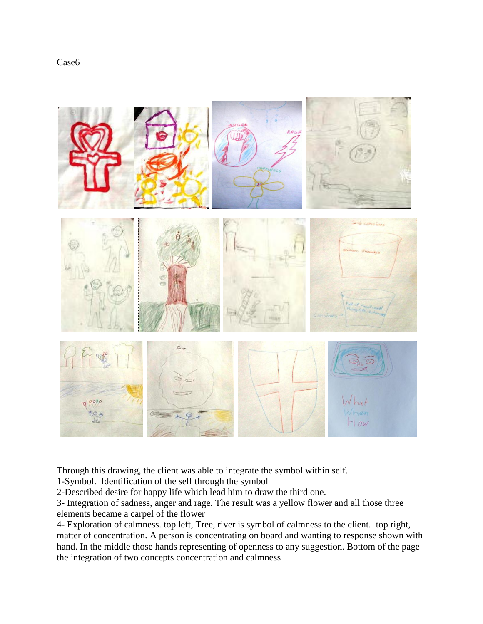



Through this drawing, the client was able to integrate the symbol within self.

1-Symbol. Identification of the self through the symbol

2-Described desire for happy life which lead him to draw the third one.

3- Integration of sadness, anger and rage. The result was a yellow flower and all those three elements became a carpel of the flower

4- Exploration of calmness. top left, Tree, river is symbol of calmness to the client. top right, matter of concentration. A person is concentrating on board and wanting to response shown with hand. In the middle those hands representing of openness to any suggestion. Bottom of the page the integration of two concepts concentration and calmness